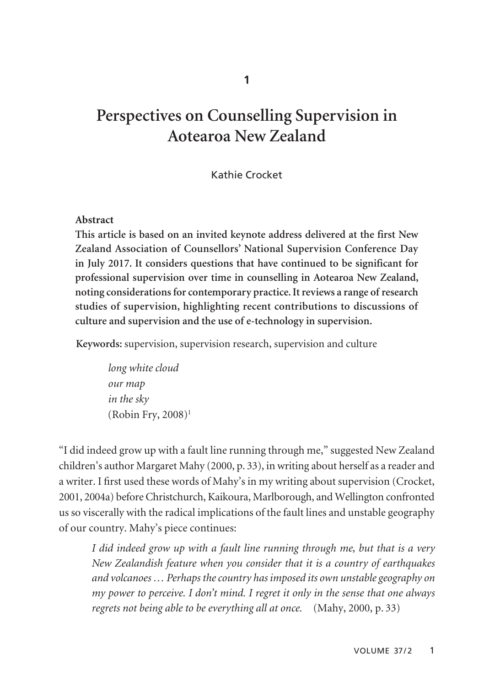# **Perspectives on Counselling Supervision in Aotearoa New Zealand**

# Kathie Crocket

## **Abstract**

**This article is based on an invited keynote address delivered at the first New Zealand Association of Counsellors' National Supervision Conference Day in July 2017. It considers questions that have continued to be significant for professional supervision over time in counselling in Aotearoa New Zealand, noting considerations for contemporary practice. It reviews a range of research studies of supervision, highlighting recent contributions to discussions of culture and supervision and the use of e-technology in supervision.** 

**Keywords:** supervision, supervision research, supervision and culture

*long white cloud our map in the sky*   $(Robin Fry, 2008)^1$ 

"I did indeed grow up with a fault line running through me," suggested New Zealand children's author Margaret Mahy (2000, p. 33), in writing about herself as a reader and a writer. I first used these words of Mahy's in my writing about supervision (Crocket, 2001, 2004a) before Christchurch, Kaikoura, Marlborough, and Wellington confronted us so viscerally with the radical implications of the fault lines and unstable geography of our country. Mahy's piece continues:

*I did indeed grow up with a fault line running through me, but that is a very New Zealandish feature when you consider that it is a country of earthquakes and volcanoes … Perhaps the country has imposed its own unstable geography on my power to perceive. I don't mind. I regret it only in the sense that one always regrets not being able to be everything all at once.* (Mahy, 2000, p. 33)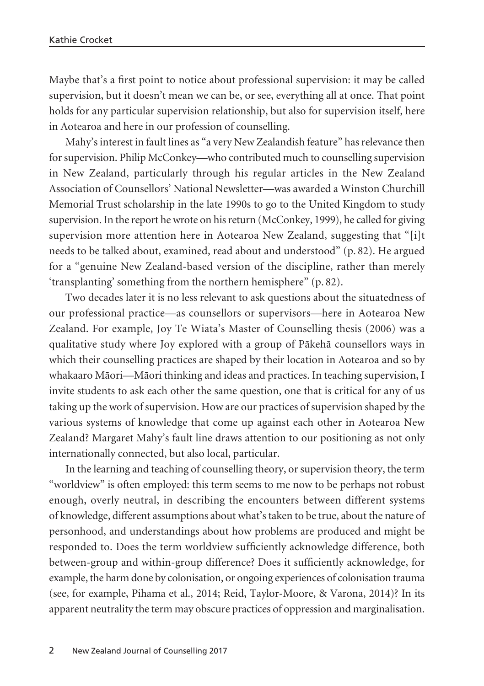Maybe that's a first point to notice about professional supervision: it may be called supervision, but it doesn't mean we can be, or see, everything all at once. That point holds for any particular supervision relationship, but also for supervision itself, here in Aotearoa and here in our profession of counselling.

Mahy's interest in fault lines as "a very New Zealandish feature" has relevance then for supervision. Philip McConkey—who contributed much to counselling supervision in New Zealand, particularly through his regular articles in the New Zealand Association of Counsellors' National Newsletter—was awarded a Winston Churchill Memorial Trust scholarship in the late 1990s to go to the United Kingdom to study supervision. In the report he wrote on his return (McConkey, 1999), he called for giving supervision more attention here in Aotearoa New Zealand, suggesting that "[i]t needs to be talked about, examined, read about and understood" (p. 82). He argued for a "genuine New Zealand-based version of the discipline, rather than merely 'transplanting' something from the northern hemisphere" (p. 82).

Two decades later it is no less relevant to ask questions about the situatedness of our professional practice—as counsellors or supervisors—here in Aotearoa New Zealand. For example, Joy Te Wiata's Master of Counselling thesis (2006) was a qualitative study where Joy explored with a group of Päkehä counsellors ways in which their counselling practices are shaped by their location in Aotearoa and so by whakaaro Mäori—Mäori thinking and ideas and practices. In teaching supervision, I invite students to ask each other the same question, one that is critical for any of us taking up the work of supervision. How are our practices of supervision shaped by the various systems of knowledge that come up against each other in Aotearoa New Zealand? Margaret Mahy's fault line draws attention to our positioning as not only internationally connected, but also local, particular.

In the learning and teaching of counselling theory, or supervision theory, the term "worldview" is often employed: this term seems to me now to be perhaps not robust enough, overly neutral, in describing the encounters between different systems of knowledge, different assumptions about what's taken to be true, about the nature of personhood, and understandings about how problems are produced and might be responded to. Does the term worldview sufficiently acknowledge difference, both between-group and within-group difference? Does it sufficiently acknowledge, for example, the harm done by colonisation, or ongoing experiences of colonisation trauma (see, for example, Pihama et al., 2014; Reid, Taylor-Moore, & Varona, 2014)? In its apparent neutrality the term may obscure practices of oppression and marginalisation.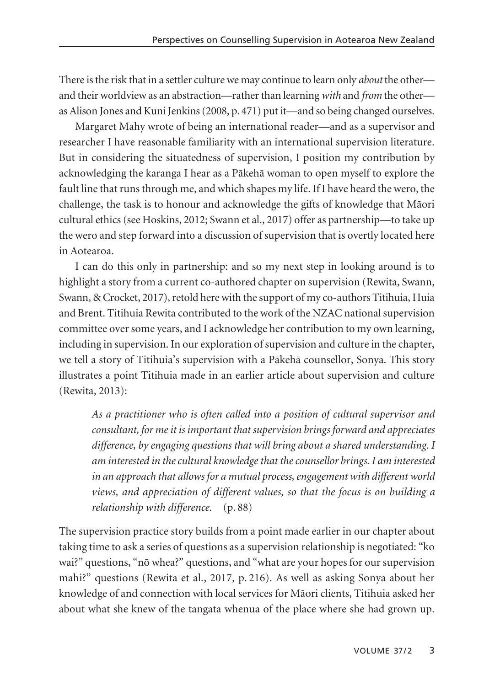There is the risk that in a settler culture we may continue to learn only *about* the other and their worldview as an abstraction—rather than learning *with* and *from* the other as Alison Jones and Kuni Jenkins (2008, p. 471) put it—and so being changed ourselves.

Margaret Mahy wrote of being an international reader—and as a supervisor and researcher I have reasonable familiarity with an international supervision literature. But in considering the situatedness of supervision, I position my contribution by acknowledging the karanga I hear as a Päkehä woman to open myself to explore the fault line that runs through me, and which shapes my life. If I have heard the wero, the challenge, the task is to honour and acknowledge the gifts of knowledge that Mäori cultural ethics (see Hoskins, 2012; Swann et al., 2017) offer as partnership—to take up the wero and step forward into a discussion of supervision that is overtly located here in Aotearoa.

I can do this only in partnership: and so my next step in looking around is to highlight a story from a current co-authored chapter on supervision (Rewita, Swann, Swann, & Crocket, 2017), retold here with the support of my co-authors Titihuia, Huia and Brent. Titihuia Rewita contributed to the work of the NZAC national supervision committee over some years, and I acknowledge her contribution to my own learning, including in supervision. In our exploration of supervision and culture in the chapter, we tell a story of Titihuia's supervision with a Päkehä counsellor, Sonya. This story illustrates a point Titihuia made in an earlier article about supervision and culture (Rewita, 2013):

*As a practitioner who is often called into a position of cultural supervisor and consultant, for me it is important that supervision brings forward and appreciates difference, by engaging questions that will bring about a shared understanding. I am interested in the cultural knowledge that the counsellor brings. I am interested in an approach that allows for a mutual process, engagement with different world views, and appreciation of different values, so that the focus is on building a relationship with difference.* (p. 88)

The supervision practice story builds from a point made earlier in our chapter about taking time to ask a series of questions as a supervision relationship is negotiated: "ko wai?" questions, "nö whea?" questions, and "what are your hopes for our supervision mahi?" questions (Rewita et al., 2017, p. 216). As well as asking Sonya about her knowledge of and connection with local services for Mäori clients, Titihuia asked her about what she knew of the tangata whenua of the place where she had grown up.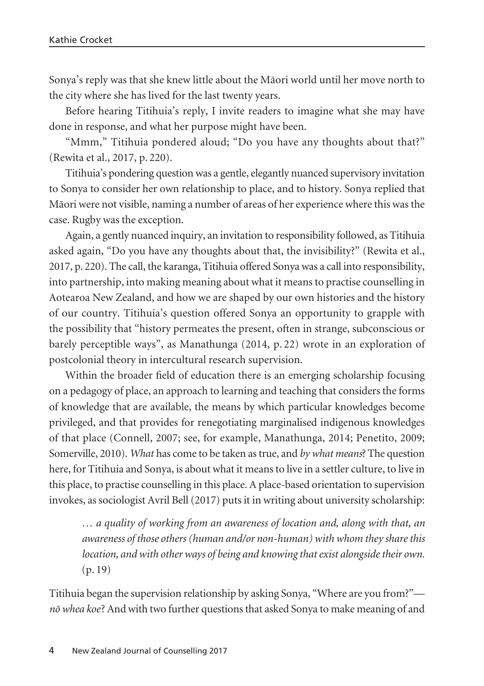Sonya's reply was that she knew little about the Mäori world until her move north to the city where she has lived for the last twenty years.

Before hearing Titihuia's reply, I invite readers to imagine what she may have done in response, and what her purpose might have been.

"Mmm," Titihuia pondered aloud; "Do you have any thoughts about that?" (Rewita et al., 2017, p. 220).

Titihuia's pondering question was a gentle, elegantly nuanced supervisory invitation to Sonya to consider her own relationship to place, and to history. Sonya replied that Mäori were not visible, naming a number of areas of her experience where this was the case. Rugby was the exception.

Again, a gently nuanced inquiry, an invitation to responsibility followed, as Titihuia asked again, "Do you have any thoughts about that, the invisibility?" (Rewita et al., 2017, p. 220). The call, the karanga, Titihuia offered Sonya was a call into responsibility, into partnership, into making meaning about what it means to practise counselling in Aotearoa New Zealand, and how we are shaped by our own histories and the history of our country. Titihuia's question offered Sonya an opportunity to grapple with the possibility that "history permeates the present, often in strange, subconscious or barely perceptible ways", as Manathunga (2014, p. 22) wrote in an exploration of postcolonial theory in intercultural research supervision.

Within the broader field of education there is an emerging scholarship focusing on a pedagogy of place, an approach to learning and teaching that considers the forms of knowledge that are available, the means by which particular knowledges become privileged, and that provides for renegotiating marginalised indigenous knowledges of that place (Connell, 2007; see, for example, Manathunga, 2014; Penetito, 2009; Somerville, 2010). *What* has come to be taken as true, and *by what means*? The question here, for Titihuia and Sonya, is about what it means to live in a settler culture, to live in this place, to practise counselling in this place. A place-based orientation to supervision invokes, as sociologist Avril Bell (2017) puts it in writing about university scholarship:

*… a quality of working from an awareness of location and, along with that, an awareness of those others (human and/or non-human) with whom they share this location, and with other ways of being and knowing that exist alongside their own.* (p. 19)

Titihuia began the supervision relationship by asking Sonya, "Where are you from?" *nö whea koe*? And with two further questions that asked Sonya to make meaning of and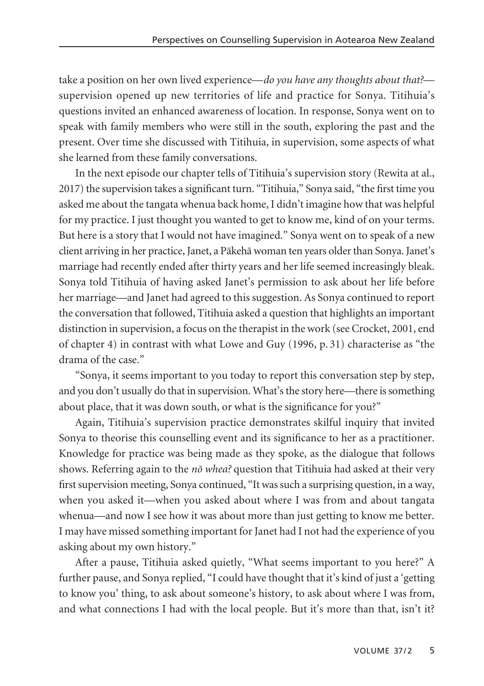take a position on her own lived experience—*do you have any thoughts about that?* supervision opened up new territories of life and practice for Sonya. Titihuia's questions invited an enhanced awareness of location. In response, Sonya went on to speak with family members who were still in the south, exploring the past and the present. Over time she discussed with Titihuia, in supervision, some aspects of what she learned from these family conversations.

In the next episode our chapter tells of Titihuia's supervision story (Rewita at al., 2017) the supervision takes a significant turn. "Titihuia," Sonya said, "the first time you asked me about the tangata whenua back home, I didn't imagine how that was helpful for my practice. I just thought you wanted to get to know me, kind of on your terms. But here is a story that I would not have imagined." Sonya went on to speak of a new client arriving in her practice, Janet, a Päkehä woman ten years older than Sonya. Janet's marriage had recently ended after thirty years and her life seemed increasingly bleak. Sonya told Titihuia of having asked Janet's permission to ask about her life before her marriage—and Janet had agreed to this suggestion. As Sonya continued to report the conversation that followed, Titihuia asked a question that highlights an important distinction in supervision, a focus on the therapist in the work (see Crocket, 2001, end of chapter 4) in contrast with what Lowe and Guy (1996, p. 31) characterise as "the drama of the case."

"Sonya, it seems important to you today to report this conversation step by step, and you don't usually do that in supervision. What's the story here—there is something about place, that it was down south, or what is the significance for you?"

Again, Titihuia's supervision practice demonstrates skilful inquiry that invited Sonya to theorise this counselling event and its significance to her as a practitioner. Knowledge for practice was being made as they spoke, as the dialogue that follows shows. Referring again to the *nö whea?* question that Titihuia had asked at their very first supervision meeting, Sonya continued, "It was such a surprising question, in a way, when you asked it—when you asked about where I was from and about tangata whenua—and now I see how it was about more than just getting to know me better. I may have missed something important for Janet had I not had the experience of you asking about my own history."

After a pause, Titihuia asked quietly, "What seems important to you here?" A further pause, and Sonya replied, "I could have thought that it's kind of just a 'getting to know you' thing, to ask about someone's history, to ask about where I was from, and what connections I had with the local people. But it's more than that, isn't it?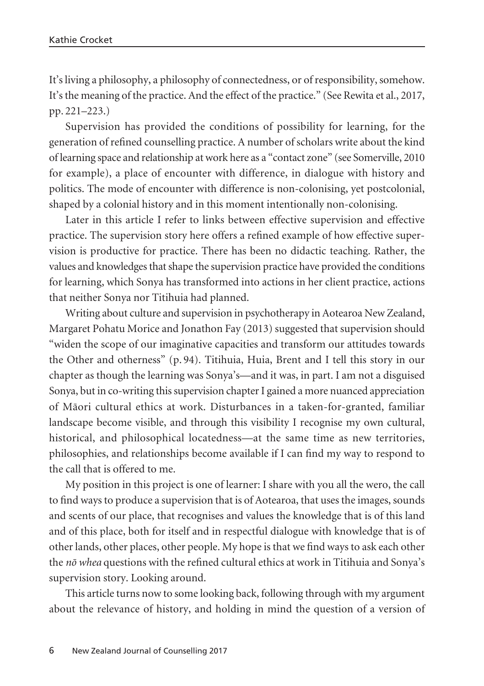It's living a philosophy, a philosophy of connectedness, or of responsibility, somehow. It's the meaning of the practice. And the effect of the practice." (See Rewita et al., 2017, pp. 221–223.)

Supervision has provided the conditions of possibility for learning, for the generation of refined counselling practice. A number of scholars write about the kind of learning space and relationship at work here as a "contact zone" (see Somerville, 2010 for example), a place of encounter with difference, in dialogue with history and politics. The mode of encounter with difference is non-colonising, yet postcolonial, shaped by a colonial history and in this moment intentionally non-colonising.

Later in this article I refer to links between effective supervision and effective practice. The supervision story here offers a refined example of how effective super vision is productive for practice. There has been no didactic teaching. Rather, the values and knowledges that shape the supervision practice have provided the conditions for learning, which Sonya has transformed into actions in her client practice, actions that neither Sonya nor Titihuia had planned.

Writing about culture and supervision in psychotherapy in Aotearoa New Zealand, Margaret Pohatu Morice and Jonathon Fay (2013) suggested that supervision should "widen the scope of our imaginative capacities and transform our attitudes towards the Other and otherness" (p. 94). Titihuia, Huia, Brent and I tell this story in our chapter as though the learning was Sonya's—and it was, in part. I am not a disguised Sonya, but in co-writing this supervision chapter I gained a more nuanced appreciation of Mäori cultural ethics at work. Disturbances in a taken-for-granted, familiar landscape become visible, and through this visibility I recognise my own cultural, historical, and philosophical locatedness—at the same time as new territories, philosophies, and relationships become available if I can find my way to respond to the call that is offered to me.

My position in this project is one of learner: I share with you all the wero, the call to find ways to produce a supervision that is of Aotearoa, that uses the images, sounds and scents of our place, that recognises and values the knowledge that is of this land and of this place, both for itself and in respectful dialogue with knowledge that is of other lands, other places, other people. My hope is that we find ways to ask each other the *nö whea* questions with the refined cultural ethics at work in Titihuia and Sonya's supervision story. Looking around.

This article turns now to some looking back, following through with my argument about the relevance of history, and holding in mind the question of a version of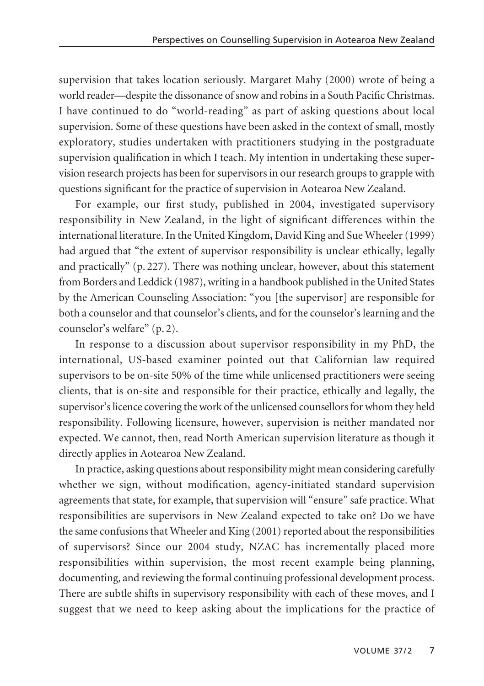supervision that takes location seriously. Margaret Mahy (2000) wrote of being a world reader—despite the dissonance of snow and robins in a South Pacific Christmas. I have continued to do "world-reading" as part of asking questions about local supervision. Some of these questions have been asked in the context of small, mostly exploratory, studies undertaken with practitioners studying in the postgraduate supervision qualification in which I teach. My intention in undertaking these super vision research projects has been for supervisors in our research groups to grapple with questions significant for the practice of supervision in Aotearoa New Zealand.

For example, our first study, published in 2004, investigated supervisory responsibility in New Zealand, in the light of significant differences within the international literature. In the United Kingdom, David King and Sue Wheeler (1999) had argued that "the extent of supervisor responsibility is unclear ethically, legally and practically" (p. 227). There was nothing unclear, however, about this statement from Borders and Leddick (1987), writing in a handbook published in the United States by the American Counseling Association: "you [the supervisor] are responsible for both a counselor and that counselor's clients, and for the counselor's learning and the counselor's welfare" (p. 2).

In response to a discussion about supervisor responsibility in my PhD, the international, US-based examiner pointed out that Californian law required supervisors to be on-site 50% of the time while unlicensed practitioners were seeing clients, that is on-site and responsible for their practice, ethically and legally, the supervisor's licence covering the work of the unlicensed counsellors for whom they held responsibility. Following licensure, however, supervision is neither mandated nor expected. We cannot, then, read North American supervision literature as though it directly applies in Aotearoa New Zealand.

In practice, asking questions about responsibility might mean considering carefully whether we sign, without modification, agency-initiated standard supervision agreements that state, for example, that supervision will "ensure" safe practice. What responsibilities are supervisors in New Zealand expected to take on? Do we have the same confusions that Wheeler and King (2001) reported about the responsibilities of supervisors? Since our 2004 study, NZAC has incrementally placed more responsibilities within supervision, the most recent example being planning, documenting, and reviewing the formal continuing professional development process. There are subtle shifts in supervisory responsibility with each of these moves, and I suggest that we need to keep asking about the implications for the practice of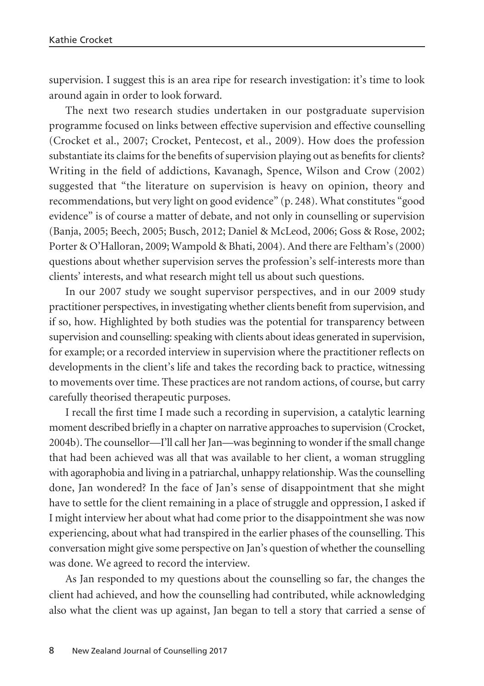supervision. I suggest this is an area ripe for research investigation: it's time to look around again in order to look forward.

The next two research studies undertaken in our postgraduate supervision programme focused on links between effective supervision and effective counselling (Crocket et al., 2007; Crocket, Pentecost, et al., 2009). How does the profession substantiate its claims for the benefits of supervision playing out as benefits for clients? Writing in the field of addictions, Kavanagh, Spence, Wilson and Crow (2002) suggested that "the literature on supervision is heavy on opinion, theory and recommendations, but very light on good evidence" (p. 248). What constitutes "good evidence" is of course a matter of debate, and not only in counselling or supervision (Banja, 2005; Beech, 2005; Busch, 2012; Daniel & McLeod, 2006; Goss & Rose, 2002; Porter & O'Halloran, 2009; Wampold & Bhati, 2004). And there are Feltham's (2000) questions about whether supervision serves the profession's self-interests more than clients' interests, and what research might tell us about such questions.

In our 2007 study we sought supervisor perspectives, and in our 2009 study practitioner perspectives, in investigating whether clients benefit from supervision, and if so, how. Highlighted by both studies was the potential for transparency between supervision and counselling: speaking with clients about ideas generated in supervision, for example; or a recorded interview in supervision where the practitioner reflects on developments in the client's life and takes the recording back to practice, witnessing to movements over time. These practices are not random actions, of course, but carry carefully theorised therapeutic purposes.

I recall the first time I made such a recording in supervision, a catalytic learning moment described briefly in a chapter on narrative approaches to supervision (Crocket, 2004b). The counsellor—I'll call her Jan—was beginning to wonder if the small change that had been achieved was all that was available to her client, a woman struggling with agoraphobia and living in a patriarchal, unhappy relationship. Was the counselling done, Jan wondered? In the face of Jan's sense of disappointment that she might have to settle for the client remaining in a place of struggle and oppression, I asked if I might interview her about what had come prior to the disappointment she was now experiencing, about what had transpired in the earlier phases of the counselling. This conversation might give some perspective on Jan's question of whether the counselling was done. We agreed to record the interview.

As Jan responded to my questions about the counselling so far, the changes the client had achieved, and how the counselling had contributed, while acknowledging also what the client was up against, Jan began to tell a story that carried a sense of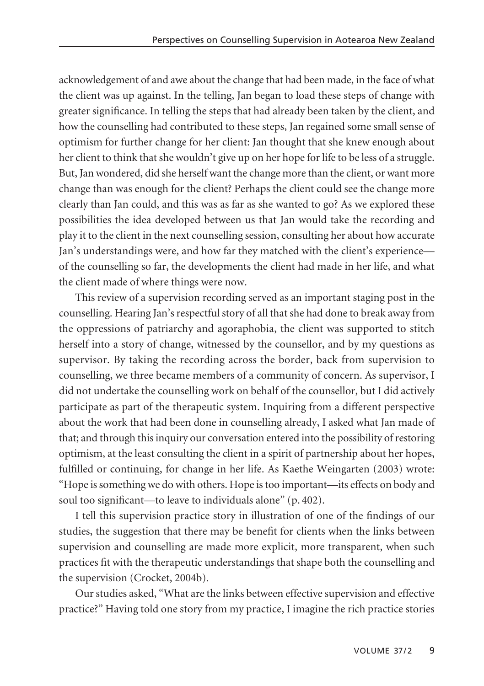acknowledgement of and awe about the change that had been made, in the face of what the client was up against. In the telling, Jan began to load these steps of change with greater significance. In telling the steps that had already been taken by the client, and how the counselling had contributed to these steps, Jan regained some small sense of optimism for further change for her client: Jan thought that she knew enough about her client to think that she wouldn't give up on her hope for life to be less of a struggle. But, Jan wondered, did she herself want the change more than the client, or want more change than was enough for the client? Perhaps the client could see the change more clearly than Jan could, and this was as far as she wanted to go? As we explored these possibilities the idea developed between us that Jan would take the recording and play it to the client in the next counselling session, consulting her about how accurate Jan's understandings were, and how far they matched with the client's experience of the counselling so far, the developments the client had made in her life, and what the client made of where things were now.

This review of a supervision recording served as an important staging post in the counselling. Hearing Jan's respectful story of all that she had done to break away from the oppressions of patriarchy and agoraphobia, the client was supported to stitch herself into a story of change, witnessed by the counsellor, and by my questions as supervisor. By taking the recording across the border, back from supervision to counselling, we three became members of a community of concern. As supervisor, I did not undertake the counselling work on behalf of the counsellor, but I did actively participate as part of the therapeutic system. Inquiring from a different perspective about the work that had been done in counselling already, I asked what Jan made of that; and through this inquiry our conversation entered into the possibility of restoring optimism, at the least consulting the client in a spirit of partnership about her hopes, fulfilled or continuing, for change in her life. As Kaethe Weingarten (2003) wrote: "Hope is something we do with others. Hope is too important—its effects on body and soul too significant—to leave to individuals alone" (p. 402).

I tell this supervision practice story in illustration of one of the findings of our studies, the suggestion that there may be benefit for clients when the links between supervision and counselling are made more explicit, more transparent, when such practices fit with the therapeutic understandings that shape both the counselling and the supervision (Crocket, 2004b).

Our studies asked, "What are the links between effective supervision and effective practice?" Having told one story from my practice, I imagine the rich practice stories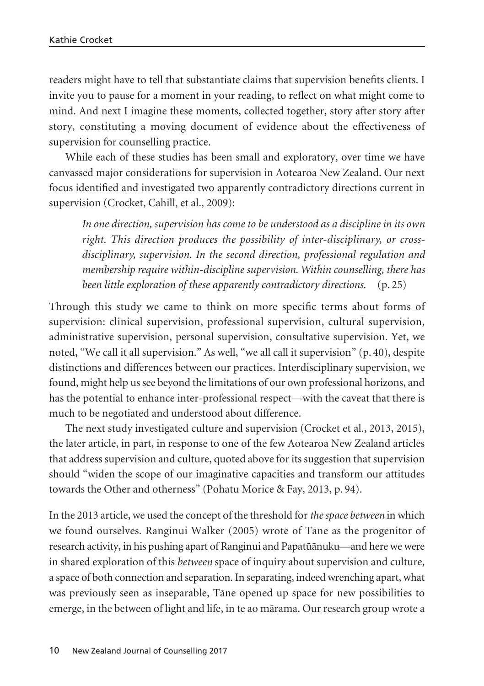readers might have to tell that substantiate claims that supervision benefits clients. I invite you to pause for a moment in your reading, to reflect on what might come to mind. And next I imagine these moments, collected together, story after story after story, constituting a moving document of evidence about the effectiveness of supervision for counselling practice.

While each of these studies has been small and exploratory, over time we have canvassed major considerations for supervision in Aotearoa New Zealand. Our next focus identified and investigated two apparently contradictory directions current in supervision (Crocket, Cahill, et al., 2009):

*In one direction, supervision has come to be understood as a discipline in its own right. This direction produces the possibility of inter-disciplinary, or crossdisciplinary, supervision. In the second direction, professional regulation and membership require within-discipline supervision. Within counselling, there has been little exploration of these apparently contradictory directions.* (p. 25)

Through this study we came to think on more specific terms about forms of supervision: clinical supervision, professional supervision, cultural supervision, administrative supervision, personal supervision, consultative supervision. Yet, we noted, "We call it all supervision." As well, "we all call it supervision" (p. 40), despite distinctions and differences between our practices. Interdisciplinary supervision, we found, might help us see beyond the limitations of our own professional horizons, and has the potential to enhance inter-professional respect—with the caveat that there is much to be negotiated and understood about difference.

The next study investigated culture and supervision (Crocket et al., 2013, 2015), the later article, in part, in response to one of the few Aotearoa New Zealand articles that address supervision and culture, quoted above for its suggestion that supervision should "widen the scope of our imaginative capacities and transform our attitudes towards the Other and otherness" (Pohatu Morice & Fay, 2013, p. 94).

In the 2013 article, we used the concept of the threshold for *the space between* in which we found ourselves. Ranginui Walker (2005) wrote of Täne as the progenitor of research activity, in his pushing apart of Ranginui and Papatüänuku—and here we were in shared exploration of this *between* space of inquiry about supervision and culture, a space of both connection and separation. In separating, indeed wrenching apart, what was previously seen as inseparable, Täne opened up space for new possibilities to emerge, in the between of light and life, in te ao märama. Our research group wrote a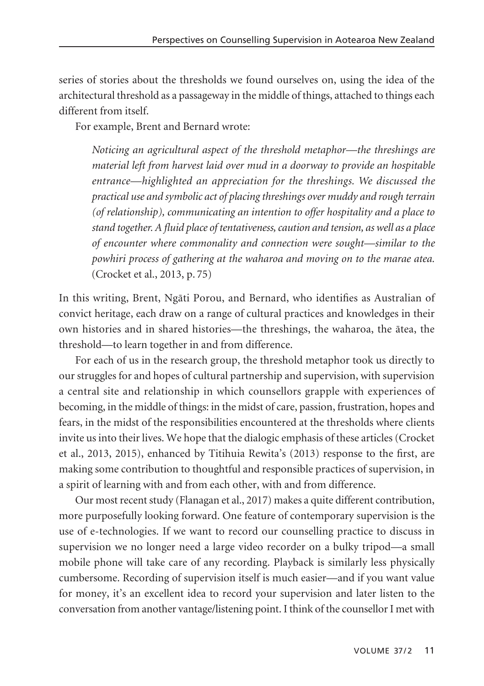series of stories about the thresholds we found ourselves on, using the idea of the architectural threshold as a passageway in the middle of things, attached to things each different from itself.

For example, Brent and Bernard wrote:

*Noticing an agricultural aspect of the threshold metaphor—the threshings are material left from harvest laid over mud in a doorway to provide an hospitable entrance—highlighted an appreciation for the threshings. We discussed the practical use and symbolic act of placing threshings over muddy and rough terrain (of relationship), communicating an intention to offer hospitality and a place to stand together. A fluid place of tentativeness, caution and tension, as well as a place of encounter where commonality and connection were sought—similar to the powhiri process of gathering at the waharoa and moving on to the marae atea.* (Crocket et al., 2013, p. 75)

In this writing, Brent, Ngäti Porou, and Bernard, who identifies as Australian of convict heritage, each draw on a range of cultural practices and knowledges in their own histories and in shared histories—the threshings, the waharoa, the ätea, the threshold—to learn together in and from difference.

For each of us in the research group, the threshold metaphor took us directly to our struggles for and hopes of cultural partnership and supervision, with supervision a central site and relationship in which counsellors grapple with experiences of becoming, in the middle of things: in the midst of care, passion, frustration, hopes and fears, in the midst of the responsibilities encountered at the thresholds where clients invite us into their lives. We hope that the dialogic emphasis of these articles (Crocket et al., 2013, 2015), enhanced by Titihuia Rewita's (2013) response to the first, are making some contribution to thoughtful and responsible practices of supervision, in a spirit of learning with and from each other, with and from difference.

Our most recent study (Flanagan et al., 2017) makes a quite different contribution, more purposefully looking forward. One feature of contemporary supervision is the use of e-technologies. If we want to record our counselling practice to discuss in supervision we no longer need a large video recorder on a bulky tripod—a small mobile phone will take care of any recording. Playback is similarly less physically cumbersome. Recording of supervision itself is much easier—and if you want value for money, it's an excellent idea to record your supervision and later listen to the conversation from another vantage/listening point. I think of the counsellor I met with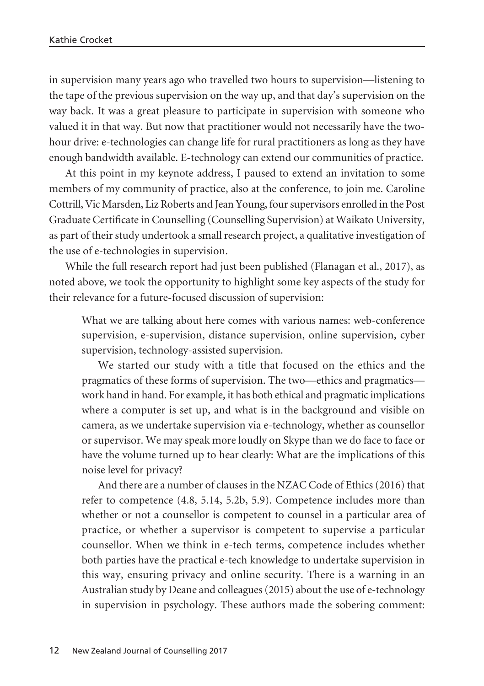in supervision many years ago who travelled two hours to supervision—listening to the tape of the previous supervision on the way up, and that day's supervision on the way back. It was a great pleasure to participate in supervision with someone who valued it in that way. But now that practitioner would not necessarily have the twohour drive: e-technologies can change life for rural practitioners as long as they have enough bandwidth available. E-technology can extend our communities of practice.

At this point in my keynote address, I paused to extend an invitation to some members of my community of practice, also at the conference, to join me. Caroline Cottrill, Vic Marsden, Liz Roberts and Jean Young, four supervisors enrolled in the Post Graduate Certificate in Counselling (Counselling Supervision) at Waikato University, as part of their study undertook a small research project, a qualitative investigation of the use of e-technologies in supervision.

While the full research report had just been published (Flanagan et al., 2017), as noted above, we took the opportunity to highlight some key aspects of the study for their relevance for a future-focused discussion of supervision:

What we are talking about here comes with various names: web-conference supervision, e-supervision, distance supervision, online supervision, cyber supervision, technology-assisted supervision.

We started our study with a title that focused on the ethics and the pragmatics of these forms of supervision. The two—ethics and pragmatics work hand in hand. For example, it has both ethical and pragmatic implications where a computer is set up, and what is in the background and visible on camera, as we undertake supervision via e-technology, whether as counsellor or supervisor. We may speak more loudly on Skype than we do face to face or have the volume turned up to hear clearly: What are the implications of this noise level for privacy?

And there are a number of clauses in the NZAC Code of Ethics (2016) that refer to competence (4.8, 5.14, 5.2b, 5.9). Competence includes more than whether or not a counsellor is competent to counsel in a particular area of practice, or whether a supervisor is competent to supervise a particular counsellor. When we think in e-tech terms, competence includes whether both parties have the practical e-tech knowledge to undertake supervision in this way, ensuring privacy and online security. There is a warning in an Australian study by Deane and colleagues (2015) about the use of e-technology in supervision in psychology. These authors made the sobering comment: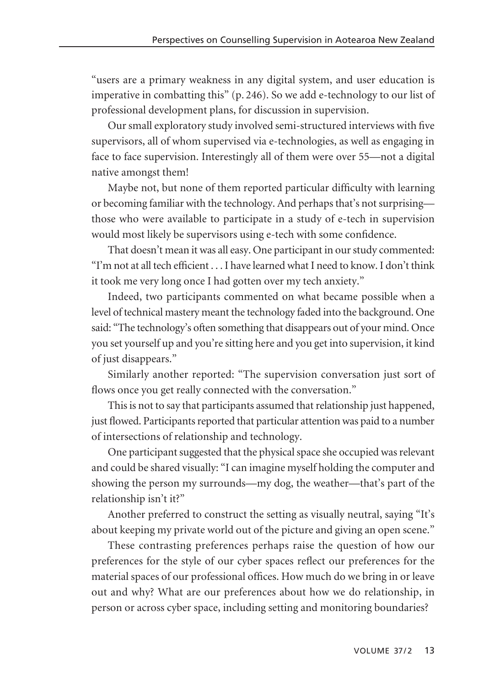"users are a primary weakness in any digital system, and user education is imperative in combatting this" (p. 246). So we add e-technology to our list of professional development plans, for discussion in supervision.

Our small exploratory study involved semi-structured interviews with five supervisors, all of whom supervised via e-technologies, as well as engaging in face to face supervision. Interestingly all of them were over 55—not a digital native amongst them!

Maybe not, but none of them reported particular difficulty with learning or becoming familiar with the technology. And perhaps that's not surprising those who were available to participate in a study of e-tech in supervision would most likely be supervisors using e-tech with some confidence.

That doesn't mean it was all easy. One participant in our study commented: "I'm not at all tech efficient . . . I have learned what I need to know. I don't think it took me very long once I had gotten over my tech anxiety."

Indeed, two participants commented on what became possible when a level of technical mastery meant the technology faded into the background. One said: "The technology's often something that disappears out of your mind. Once you set yourself up and you're sitting here and you get into supervision, it kind of just disappears."

Similarly another reported: "The supervision conversation just sort of flows once you get really connected with the conversation."

This is not to say that participants assumed that relationship just happened, just flowed. Participants reported that particular attention was paid to a number of intersections of relationship and technology.

One participant suggested that the physical space she occupied was relevant and could be shared visually: "I can imagine myself holding the computer and showing the person my surrounds—my dog, the weather—that's part of the relationship isn't it?"

Another preferred to construct the setting as visually neutral, saying "It's about keeping my private world out of the picture and giving an open scene."

These contrasting preferences perhaps raise the question of how our preferences for the style of our cyber spaces reflect our preferences for the material spaces of our professional offices. How much do we bring in or leave out and why? What are our preferences about how we do relationship, in person or across cyber space, including setting and monitoring boundaries?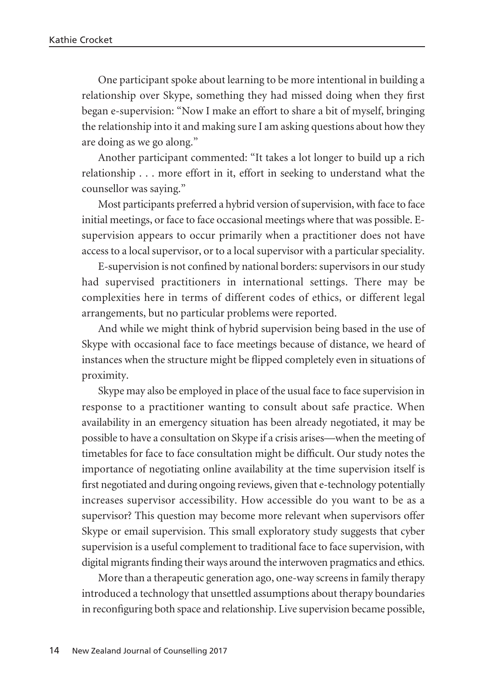One participant spoke about learning to be more intentional in building a relationship over Skype, something they had missed doing when they first began e-supervision: "Now I make an effort to share a bit of myself, bringing the relationship into it and making sure I am asking questions about how they are doing as we go along."

Another participant commented: "It takes a lot longer to build up a rich relationship . . . more effort in it, effort in seeking to understand what the counsellor was saying."

Most participants preferred a hybrid version of supervision, with face to face initial meetings, or face to face occasional meetings where that was possible. Esupervision appears to occur primarily when a practitioner does not have access to a local supervisor, or to a local supervisor with a particular speciality.

E-supervision is not confined by national borders: supervisors in our study had supervised practitioners in international settings. There may be complexities here in terms of different codes of ethics, or different legal arrangements, but no particular problems were reported.

And while we might think of hybrid supervision being based in the use of Skype with occasional face to face meetings because of distance, we heard of instances when the structure might be flipped completely even in situations of proximity.

Skype may also be employed in place of the usual face to face supervision in response to a practitioner wanting to consult about safe practice. When availability in an emergency situation has been already negotiated, it may be possible to have a consultation on Skype if a crisis arises—when the meeting of timetables for face to face consultation might be difficult. Our study notes the importance of negotiating online availability at the time supervision itself is first negotiated and during ongoing reviews, given that e-technology potentially increases supervisor accessibility. How accessible do you want to be as a supervisor? This question may become more relevant when supervisors offer Skype or email supervision. This small exploratory study suggests that cyber supervision is a useful complement to traditional face to face supervision, with digital migrants finding their ways around the interwoven pragmatics and ethics.

More than a therapeutic generation ago, one-way screens in family therapy introduced a technology that unsettled assumptions about therapy boundaries in reconfiguring both space and relationship. Live supervision became possible,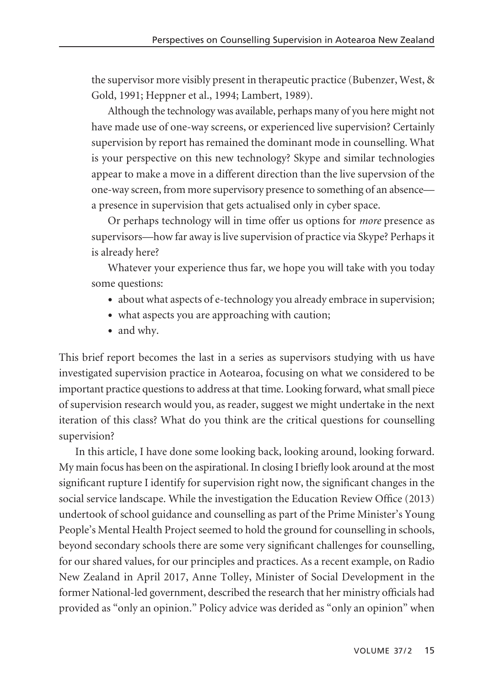the supervisor more visibly present in therapeutic practice (Bubenzer, West, & Gold, 1991; Heppner et al., 1994; Lambert, 1989).

Although the technology was available, perhaps many of you here might not have made use of one-way screens, or experienced live supervision? Certainly supervision by report has remained the dominant mode in counselling. What is your perspective on this new technology? Skype and similar technologies appear to make a move in a different direction than the live supervsion of the one-way screen, from more supervisory presence to something of an absence a presence in supervision that gets actualised only in cyber space.

Or perhaps technology will in time offer us options for *more* presence as supervisors—how far away is live supervision of practice via Skype? Perhaps it is already here?

Whatever your experience thus far, we hope you will take with you today some questions:

- about what aspects of e-technology you already embrace in supervision;
- what aspects you are approaching with caution;
- and why.

This brief report becomes the last in a series as supervisors studying with us have investigated supervision practice in Aotearoa, focusing on what we considered to be important practice questions to address at that time. Looking forward, what small piece of supervision research would you, as reader, suggest we might undertake in the next iteration of this class? What do you think are the critical questions for counselling supervision?

In this article, I have done some looking back, looking around, looking forward. My main focus has been on the aspirational. In closing I briefly look around at the most significant rupture I identify for supervision right now, the significant changes in the social service landscape. While the investigation the Education Review Office (2013) undertook of school guidance and counselling as part of the Prime Minister's Young People's Mental Health Project seemed to hold the ground for counselling in schools, beyond secondary schools there are some very significant challenges for counselling, for our shared values, for our principles and practices. As a recent example, on Radio New Zealand in April 2017, Anne Tolley, Minister of Social Development in the former National-led government, described the research that her ministry officials had provided as "only an opinion." Policy advice was derided as "only an opinion" when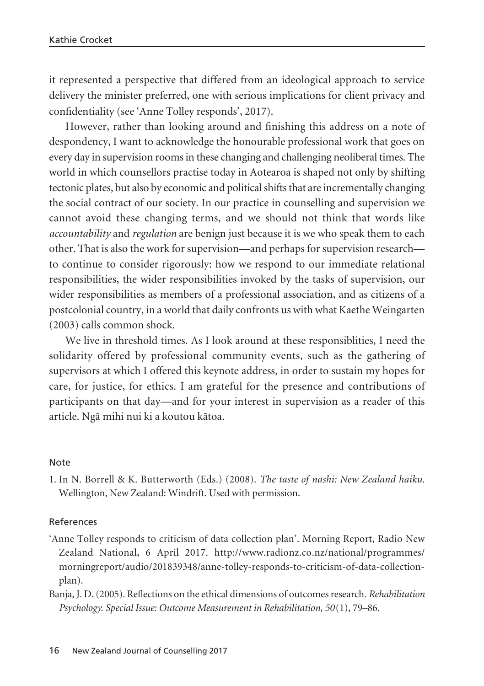it represented a perspective that differed from an ideological approach to service delivery the minister preferred, one with serious implications for client privacy and confidentiality (see 'Anne Tolley responds', 2017).

However, rather than looking around and finishing this address on a note of despondency, I want to acknowledge the honourable professional work that goes on every day in supervision rooms in these changing and challenging neoliberal times. The world in which counsellors practise today in Aotearoa is shaped not only by shifting tectonic plates, but also by economic and political shifts that are incrementally changing the social contract of our society. In our practice in counselling and supervision we cannot avoid these changing terms, and we should not think that words like *accountability* and *regulation* are benign just because it is we who speak them to each other. That is also the work for supervision—and perhaps for supervision research to continue to consider rigorously: how we respond to our immediate relational responsibilities, the wider responsibilities invoked by the tasks of supervision, our wider responsibilities as members of a professional association, and as citizens of a postcolonial country, in a world that daily confronts us with what Kaethe Weingarten (2003) calls common shock.

We live in threshold times. As I look around at these responsiblities, I need the solidarity offered by professional community events, such as the gathering of supervisors at which I offered this keynote address, in order to sustain my hopes for care, for justice, for ethics. I am grateful for the presence and contributions of participants on that day—and for your interest in supervision as a reader of this article. Ngä mihi nui ki a koutou kätoa.

### Note

1. In N. Borrell & K. Butterworth (Eds.) (2008). *The taste of nashi: New Zealand haiku*. Wellington, New Zealand: Windrift. Used with permission.

### References

- 'Anne Tolley responds to criticism of data collection plan'. Morning Report, Radio New Zealand National, 6 April 2017. http://www.radionz.co.nz/national/programmes/ morningreport/audio/201839348/anne-tolley-responds-to-criticism-of-data-collectionplan).
- Banja, J. D. (2005). Reflections on the ethical dimensions of outcomes research. *Rehabilitation Psychology. Special Issue: Outcome Measurement in Rehabilitation*, *50*(1), 79–86.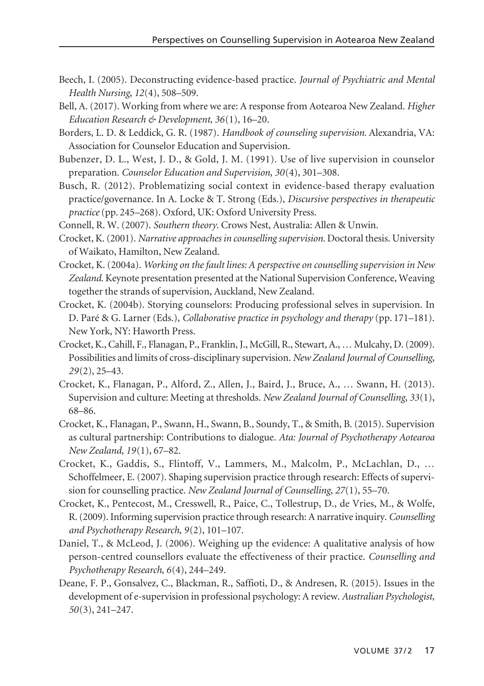- Beech, I. (2005). Deconstructing evidence-based practice. *Journal of Psychiatric and Mental Health Nursing*, *12*(4), 508–509.
- Bell, A. (2017). Working from where we are: A response from Aotearoa New Zealand. *Higher Education Research & Development*, *36*(1), 16–20.
- Borders, L. D. & Leddick, G. R. (1987). *Handbook of counseling supervision.* Alexandria, VA: Association for Counselor Education and Supervision.
- Bubenzer, D. L., West, J. D., & Gold, J. M. (1991). Use of live supervision in counselor preparation. *Counselor Education and Supervision*, *30*(4), 301–308.
- Busch, R. (2012). Problematizing social context in evidence-based therapy evaluation practice/governance. In A. Locke & T. Strong (Eds.), *Discursive perspectives in therapeutic practice* (pp. 245–268). Oxford, UK: Oxford University Press.
- Connell, R. W. (2007). *Southern theory*. Crows Nest, Australia: Allen & Unwin.
- Crocket, K. (2001). *Narrative approaches in counselling supervision.* Doctoral thesis. University of Waikato, Hamilton, New Zealand.
- Crocket, K. (2004a). *Working on the fault lines: A perspective on counselling supervision in New Zealand*. Keynote presentation presented at the National Supervision Conference, Weaving together the strands of supervision, Auckland, New Zealand.
- Crocket, K. (2004b). Storying counselors: Producing professional selves in supervision. In D. Paré & G. Larner (Eds.), *Collaborative practice in psychology and therapy* (pp. 171–181). New York, NY: Haworth Press.
- Crocket, K., Cahill, F., Flanagan, P., Franklin, J., McGill, R., Stewart, A., … Mulcahy, D. (2009). Possibilities and limits of cross-disciplinary supervision. *New Zealand Journal of Counselling*, *29*(2), 25–43.
- Crocket, K., Flanagan, P., Alford, Z., Allen, J., Baird, J., Bruce, A., … Swann, H. (2013). Supervision and culture: Meeting at thresholds. *New Zealand Journal of Counselling*, *33*(1), 68–86.
- Crocket, K., Flanagan, P., Swann, H., Swann, B., Soundy, T., & Smith, B. (2015). Supervision as cultural partnership: Contributions to dialogue. *Ata: Journal of Psychotherapy Aotearoa New Zealand*, *19*(1), 67–82.
- Crocket, K., Gaddis, S., Flintoff, V., Lammers, M., Malcolm, P., McLachlan, D., … Schoffelmeer, E. (2007). Shaping supervision practice through research: Effects of supervision for counselling practice. *New Zealand Journal of Counselling*, *27*(1), 55–70.
- Crocket, K., Pentecost, M., Cresswell, R., Paice, C., Tollestrup, D., de Vries, M., & Wolfe, R. (2009). Informing supervision practice through research: A narrative inquiry. *Counselling and Psychotherapy Research*, *9*(2), 101–107.
- Daniel, T., & McLeod, J. (2006). Weighing up the evidence: A qualitative analysis of how person-centred counsellors evaluate the effectiveness of their practice. *Counselling and Psychotherapy Research*, *6*(4), 244–249.
- Deane, F. P., Gonsalvez, C., Blackman, R., Saffioti, D., & Andresen, R. (2015). Issues in the development of e-supervision in professional psychology: A review. *Australian Psychologist*, *50*(3), 241–247.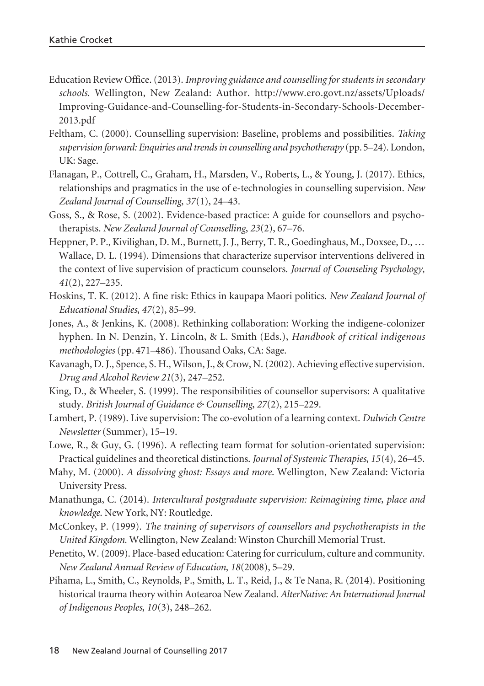- Education Review Office. (2013). *Improving guidance and counselling for students in secondary schools.* Wellington, New Zealand: Author. http://www.ero.govt.nz/assets/Uploads/ Improving-Guidance-and-Counselling-for-Students-in-Secondary-Schools-December-2013.pdf
- Feltham, C. (2000). Counselling supervision: Baseline, problems and possibilities. *Taking supervision forward: Enquiries and trends in counselling and psychotherapy* (pp. 5–24). London, UK: Sage.
- Flanagan, P., Cottrell, C., Graham, H., Marsden, V., Roberts, L., & Young, J. (2017). Ethics, relationships and pragmatics in the use of e-technologies in counselling supervision. *New Zealand Journal of Counselling*, *37*(1), 24–43.
- Goss, S., & Rose, S. (2002). Evidence-based practice: A guide for counsellors and psychotherapists. *New Zealand Journal of Counselling*, *23*(2), 67–76.
- Heppner, P. P., Kivilighan, D. M., Burnett, J. J., Berry, T. R., Goedinghaus, M., Doxsee, D., … Wallace, D. L. (1994). Dimensions that characterize supervisor interventions delivered in the context of live supervision of practicum counselors. *Journal of Counseling Psychology*, *41*(2), 227–235.
- Hoskins, T. K. (2012). A fine risk: Ethics in kaupapa Maori politics. *New Zealand Journal of Educational Studies*, *47*(2), 85–99.
- Jones, A., & Jenkins, K. (2008). Rethinking collaboration: Working the indigene-colonizer hyphen. In N. Denzin, Y. Lincoln, & L. Smith (Eds.), *Handbook of critical indigenous methodologies* (pp. 471–486). Thousand Oaks, CA: Sage.
- Kavanagh, D. J., Spence, S. H., Wilson, J., & Crow, N. (2002). Achieving effective supervision. *Drug and Alcohol Review 21*(3), 247–252.
- King, D., & Wheeler, S. (1999). The responsibilities of counsellor supervisors: A qualitative study. *British Journal of Guidance & Counselling*, *27*(2), 215–229.
- Lambert, P. (1989). Live supervision: The co-evolution of a learning context. *Dulwich Centre Newsletter* (Summer), 15–19.
- Lowe, R., & Guy, G. (1996). A reflecting team format for solution-orientated supervision: Practical guidelines and theoretical distinctions. *Journal of Systemic Therapies*, *15*(4), 26–45.
- Mahy, M. (2000). *A dissolving ghost: Essays and more*. Wellington, New Zealand: Victoria University Press.
- Manathunga, C. (2014). *Intercultural postgraduate supervision: Reimagining time, place and knowledge*. New York, NY: Routledge.
- McConkey, P. (1999). *The training of supervisors of counsellors and psychotherapists in the United Kingdom.* Wellington, New Zealand: Winston Churchill Memorial Trust.
- Penetito, W. (2009). Place-based education: Catering for curriculum, culture and community. *New Zealand Annual Review of Education*, *18*(2008), 5–29.
- Pihama, L., Smith, C., Reynolds, P., Smith, L. T., Reid, J., & Te Nana, R. (2014). Positioning historical trauma theory within Aotearoa New Zealand. *AlterNative: An International Journal of Indigenous Peoples*, *10*(3), 248–262.